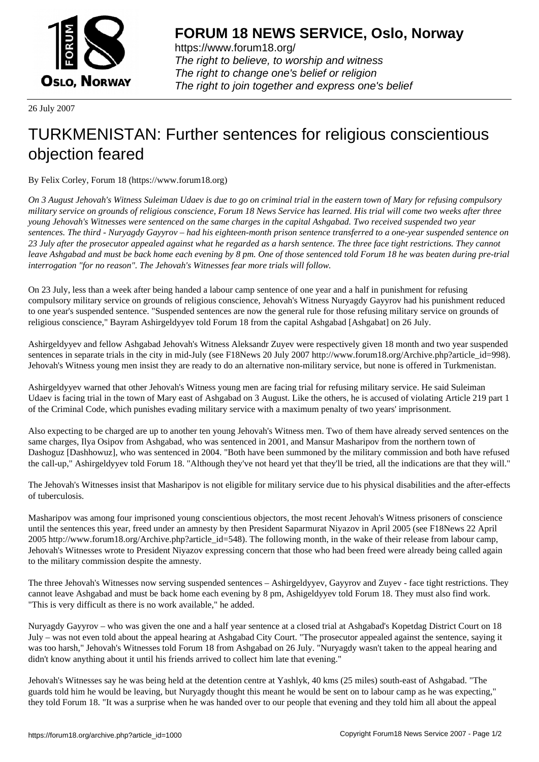

https://www.forum18.org/ The right to believe, to worship and witness The right to change one's belief or religion [The right to join together a](https://www.forum18.org/)nd express one's belief

26 July 2007

## [TURKMENISTA](https://www.forum18.org)N: Further sentences for religious conscientious objection feared

By Felix Corley, Forum 18 (https://www.forum18.org)

*On 3 August Jehovah's Witness Suleiman Udaev is due to go on criminal trial in the eastern town of Mary for refusing compulsory military service on grounds of religious conscience, Forum 18 News Service has learned. His trial will come two weeks after three young Jehovah's Witnesses were sentenced on the same charges in the capital Ashgabad. Two received suspended two year sentences. The third - Nuryagdy Gayyrov – had his eighteen-month prison sentence transferred to a one-year suspended sentence on 23 July after the prosecutor appealed against what he regarded as a harsh sentence. The three face tight restrictions. They cannot leave Ashgabad and must be back home each evening by 8 pm. One of those sentenced told Forum 18 he was beaten during pre-trial interrogation "for no reason". The Jehovah's Witnesses fear more trials will follow.*

On 23 July, less than a week after being handed a labour camp sentence of one year and a half in punishment for refusing compulsory military service on grounds of religious conscience, Jehovah's Witness Nuryagdy Gayyrov had his punishment reduced to one year's suspended sentence. "Suspended sentences are now the general rule for those refusing military service on grounds of religious conscience," Bayram Ashirgeldyyev told Forum 18 from the capital Ashgabad [Ashgabat] on 26 July.

Ashirgeldyyev and fellow Ashgabad Jehovah's Witness Aleksandr Zuyev were respectively given 18 month and two year suspended sentences in separate trials in the city in mid-July (see F18News 20 July 2007 http://www.forum18.org/Archive.php?article\_id=998). Jehovah's Witness young men insist they are ready to do an alternative non-military service, but none is offered in Turkmenistan.

Ashirgeldyyev warned that other Jehovah's Witness young men are facing trial for refusing military service. He said Suleiman Udaev is facing trial in the town of Mary east of Ashgabad on 3 August. Like the others, he is accused of violating Article 219 part 1 of the Criminal Code, which punishes evading military service with a maximum penalty of two years' imprisonment.

Also expecting to be charged are up to another ten young Jehovah's Witness men. Two of them have already served sentences on the same charges, Ilya Osipov from Ashgabad, who was sentenced in 2001, and Mansur Masharipov from the northern town of Dashoguz [Dashhowuz], who was sentenced in 2004. "Both have been summoned by the military commission and both have refused the call-up," Ashirgeldyyev told Forum 18. "Although they've not heard yet that they'll be tried, all the indications are that they will."

The Jehovah's Witnesses insist that Masharipov is not eligible for military service due to his physical disabilities and the after-effects of tuberculosis.

Masharipov was among four imprisoned young conscientious objectors, the most recent Jehovah's Witness prisoners of conscience until the sentences this year, freed under an amnesty by then President Saparmurat Niyazov in April 2005 (see F18News 22 April 2005 http://www.forum18.org/Archive.php?article\_id=548). The following month, in the wake of their release from labour camp, Jehovah's Witnesses wrote to President Niyazov expressing concern that those who had been freed were already being called again to the military commission despite the amnesty.

The three Jehovah's Witnesses now serving suspended sentences – Ashirgeldyyev, Gayyrov and Zuyev - face tight restrictions. They cannot leave Ashgabad and must be back home each evening by 8 pm, Ashigeldyyev told Forum 18. They must also find work. "This is very difficult as there is no work available," he added.

Nuryagdy Gayyrov – who was given the one and a half year sentence at a closed trial at Ashgabad's Kopetdag District Court on 18 July – was not even told about the appeal hearing at Ashgabad City Court. "The prosecutor appealed against the sentence, saying it was too harsh," Jehovah's Witnesses told Forum 18 from Ashgabad on 26 July. "Nuryagdy wasn't taken to the appeal hearing and didn't know anything about it until his friends arrived to collect him late that evening."

Jehovah's Witnesses say he was being held at the detention centre at Yashlyk, 40 kms (25 miles) south-east of Ashgabad. "The guards told him he would be leaving, but Nuryagdy thought this meant he would be sent on to labour camp as he was expecting," they told Forum 18. "It was a surprise when he was handed over to our people that evening and they told him all about the appeal